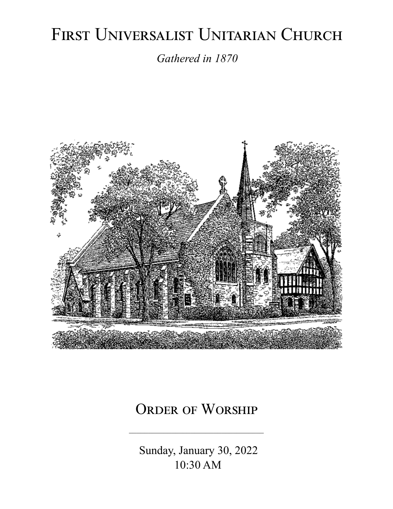# FIRST UNIVERSALIST UNITARIAN CHURCH

*Gathered in 1870*



# ORDER OF WORSHIP

 Sunday, January 30, 2022 10:30 AM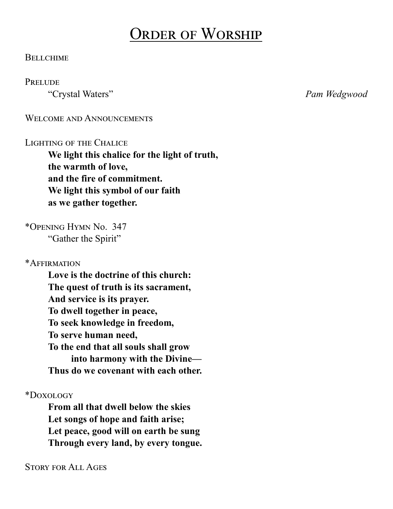# Order of Worship

#### **BELLCHIME**

#### **PRELUDE**

"Crystal Waters" *Pam Wedgwood*

WELCOME AND ANNOUNCEMENTS

#### LIGHTING OF THE CHALICE

**We light this chalice for the light of truth, the warmth of love, and the fire of commitment. We light this symbol of our faith as we gather together.**

\*Opening Hymn No. 347 "Gather the Spirit"

\*Affirmation

**Love is the doctrine of this church: The quest of truth is its sacrament, And service is its prayer. To dwell together in peace, To seek knowledge in freedom, To serve human need, To the end that all souls shall grow into harmony with the Divine— Thus do we covenant with each other.**

\*Doxology

**From all that dwell below the skies Let songs of hope and faith arise; Let peace, good will on earth be sung Through every land, by every tongue.**

Story for All Ages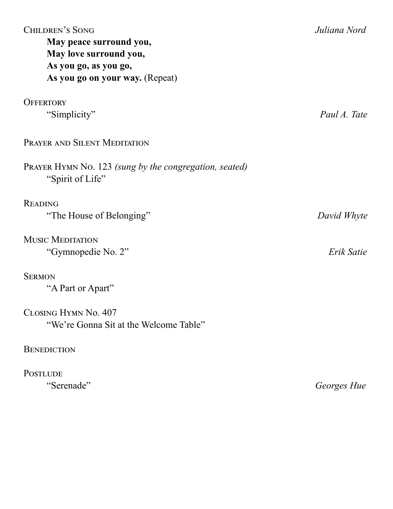| <b>CHILDREN'S SONG</b><br>May peace surround you,<br>May love surround you,<br>As you go, as you go,<br>As you go on your way. (Repeat) | Juliana Nord |
|-----------------------------------------------------------------------------------------------------------------------------------------|--------------|
| <b>OFFERTORY</b>                                                                                                                        |              |
| "Simplicity"                                                                                                                            | Paul A. Tate |
| PRAYER AND SILENT MEDITATION                                                                                                            |              |
| PRAYER HYMN No. 123 (sung by the congregation, seated)<br>"Spirit of Life"                                                              |              |
| <b>READING</b>                                                                                                                          |              |
| "The House of Belonging"                                                                                                                | David Whyte  |
| <b>MUSIC MEDITATION</b>                                                                                                                 |              |
| "Gymnopedie No. 2"                                                                                                                      | Erik Satie   |
| <b>SERMON</b>                                                                                                                           |              |
| "A Part or Apart"                                                                                                                       |              |
| CLOSING HYMN No. 407                                                                                                                    |              |
| "We're Gonna Sit at the Welcome Table"                                                                                                  |              |
| <b>BENEDICTION</b>                                                                                                                      |              |
| <b>POSTLUDE</b>                                                                                                                         |              |
| "Serenade"                                                                                                                              | Georges Hue  |